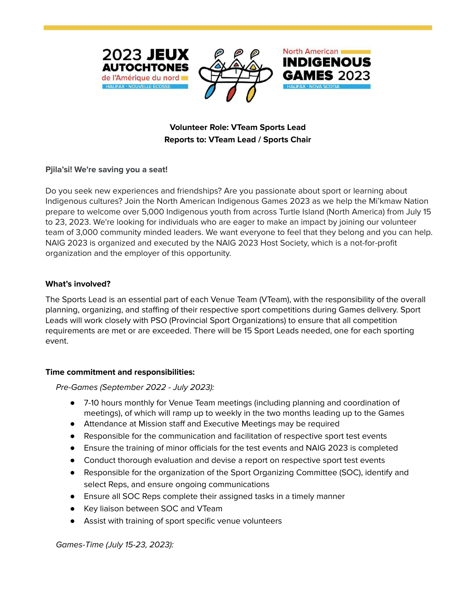

# **Volunteer Role: VTeam Sports Lead Reports to: VTeam Lead / Sports Chair**

#### **Pjila'si! We're saving you a seat!**

Do you seek new experiences and friendships? Are you passionate about sport or learning about Indigenous cultures? Join the North American Indigenous Games 2023 as we help the Mi'kmaw Nation prepare to welcome over 5,000 Indigenous youth from across Turtle Island (North America) from July 15 to 23, 2023. We're looking for individuals who are eager to make an impact by joining our volunteer team of 3,000 community minded leaders. We want everyone to feel that they belong and you can help. NAIG 2023 is organized and executed by the NAIG 2023 Host Society, which is a not-for-profit organization and the employer of this opportunity.

### **What's involved?**

The Sports Lead is an essential part of each Venue Team (VTeam), with the responsibility of the overall planning, organizing, and staffing of their respective sport competitions during Games delivery. Sport Leads will work closely with PSO (Provincial Sport Organizations) to ensure that all competition requirements are met or are exceeded. There will be 15 Sport Leads needed, one for each sporting event.

#### **Time commitment and responsibilities:**

Pre-Games (September 2022 - July 2023):

- 7-10 hours monthly for Venue Team meetings (including planning and coordination of meetings), of which will ramp up to weekly in the two months leading up to the Games
- Attendance at Mission staff and Executive Meetings may be required
- Responsible for the communication and facilitation of respective sport test events
- Ensure the training of minor officials for the test events and NAIG 2023 is completed
- Conduct thorough evaluation and devise a report on respective sport test events
- Responsible for the organization of the Sport Organizing Committee (SOC), identify and select Reps, and ensure ongoing communications
- Ensure all SOC Reps complete their assigned tasks in a timely manner
- Key liaison between SOC and VTeam
- Assist with training of sport specific venue volunteers

Games-Time (July 15-23, 2023):